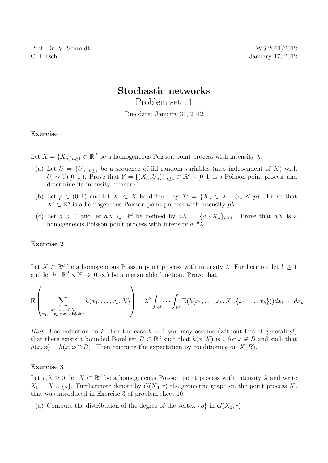# Stochastic networks

Problem set 11

Due date: January 31, 2012

### Exercise 1

Let  $X = \{X_n\}_{n \geq 1} \subset \mathbb{R}^d$  be a homogeneous Poisson point process with intensity  $\lambda$ .

- (a) Let  $U = \{U_n\}_{n\geq 1}$  be a sequence of iid random variables (also independent of X) with  $U_i \sim U([0,1])$ . Prove that  $Y = \{(X_n, U_n)\}_{n \geq 1} \subset \mathbb{R}^d \times [0,1]$  is a Poisson point process and determine its intensity measure.
- (b) Let  $p \in (0,1)$  and let  $X' \subset X$  be defined by  $X' = \{X_n \in X : U_n \leq p\}$ . Prove that  $X' \subset \mathbb{R}^d$  is a homogeneous Poisson point process with intensity  $p\lambda$ .
- (c) Let  $a > 0$  and let  $aX \subset \mathbb{R}^d$  be defined by  $aX = \{a \cdot X_n\}_{n \geq 1}$ . Prove that  $aX$  is a homogeneous Poisson point process with intensity  $a^{-d}\lambda$ .

### Exercise 2

Let  $X \subset \mathbb{R}^d$  be a homogeneous Poisson point process with intensity  $\lambda$ . Furthermore let  $k \geq 1$ and let  $h : \mathbb{R}^d \times \mathbb{N} \to [0, \infty)$  be a measurable function. Prove that

E X x1,...,xk∈X x1,...,x<sup>k</sup> pw. disjoint h(x1, . . . , xk, X) <sup>=</sup> <sup>λ</sup> k Z Rd · · · <sup>Z</sup> Rd E(h(x1, . . . , xk, X∪{x1, . . . , xk}))dx<sup>1</sup> · · · dx<sup>k</sup>

*Hint.* Use induction on k. For the case  $k = 1$  you may assume (without loss of generality!) that there exists a bounded Borel set  $B \subset \mathbb{R}^d$  such that  $h(x, X)$  is 0 for  $x \notin B$  and such that  $h(x, \varphi) = h(x, \varphi \cap B)$ . Then compute the expectation by conditioning on  $X(B)$ .

#### Exercise 3

Let  $r, \lambda \geq 0$ , let  $X \subset \mathbb{R}^d$  be a homogeneous Poisson point process with intensity  $\lambda$  and write  $X_0 = X \cup \{o\}$ . Furthermore denote by  $G(X_0, r)$  the geometric graph on the point process  $X_0$ that was introduced in Exercise 3 of problem sheet 10.

(a) Compute the distribution of the degree of the vertex  $\{o\}$  in  $G(X_0, r)$